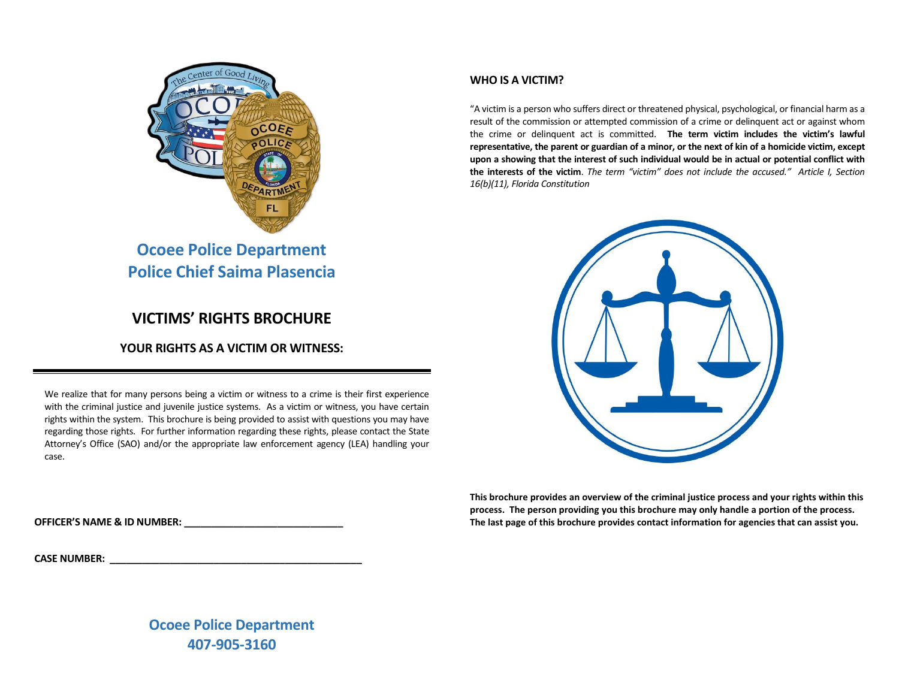

# **Ocoee Police Department Police Chief Saima Plasencia**

# **VICTIMS' RIGHTS BROCHURE**

## **YOUR RIGHTS AS A VICTIM OR WITNESS:**

We realize that for many persons being a victim or witness to a crime is their first experience with the criminal justice and juvenile justice systems. As a victim or witness, you have certain rights within the system. This brochure is being provided to assist with questions you may have regarding those rights. For further information regarding these rights, please contact the State Attorney's Office (SAO) and/or the appropriate law enforcement agency (LEA) handling your case.

### **WHO IS A VICTIM?**

"A victim is a person who suffers direct or threatened physical, psychological, or financial harm as a result of the commission or attempted commission of a crime or delinquent act or against whom the crime or delinquent act is committed. **The term victim includes the victim's lawful representative, the parent or guardian of a minor, or the next of kin of a homicide victim, except upon a showing that the interest of such individual would be in actual or potential conflict with the interests of the victim**. *The term "victim" does not include the accused." Article I, Section 16(b)(11), Florida Constitution*



**This brochure provides an overview of the criminal justice process and your rights within this process. The person providing you this brochure may only handle a portion of the process. The last page of this brochure provides contact information for agencies that can assist you.**

**OFFICER'S NAME & ID NUMBER: \_\_\_\_\_\_\_\_\_\_\_\_\_\_\_\_\_\_\_\_\_\_\_\_\_\_\_\_\_**

**CASE NUMBER: \_\_\_\_\_\_\_\_\_\_\_\_\_\_\_\_\_\_\_\_\_\_\_\_\_\_\_\_\_\_\_\_\_\_\_\_\_\_\_\_\_\_\_\_\_\_**

**Ocoee Police Department 407-905-3160**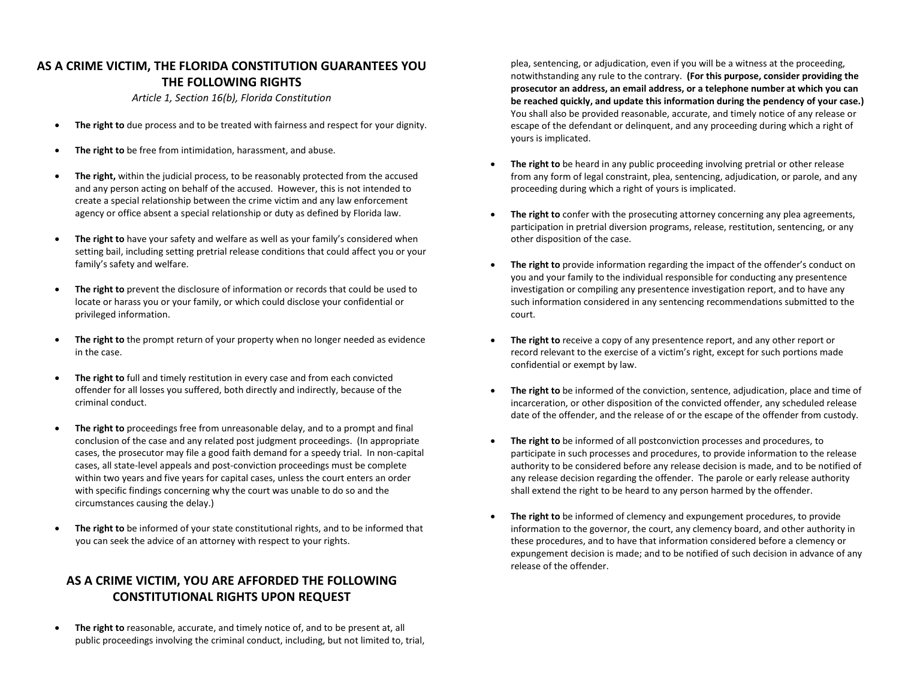# **AS A CRIME VICTIM, THE FLORIDA CONSTITUTION GUARANTEES YOU THE FOLLOWING RIGHTS**

*Article 1, Section 16(b), Florida Constitution*

- **The right to** due process and to be treated with fairness and respect for your dignity.
- **The right to** be free from intimidation, harassment, and abuse.
- **The right,** within the judicial process, to be reasonably protected from the accused and any person acting on behalf of the accused. However, this is not intended to create a special relationship between the crime victim and any law enforcement agency or office absent a special relationship or duty as defined by Florida law.
- **The right to** have your safety and welfare as well as your family's considered when setting bail, including setting pretrial release conditions that could affect you or your family's safety and welfare.
- **The right to** prevent the disclosure of information or records that could be used to locate or harass you or your family, or which could disclose your confidential or privileged information.
- **The right to** the prompt return of your property when no longer needed as evidence in the case.
- **The right to** full and timely restitution in every case and from each convicted offender for all losses you suffered, both directly and indirectly, because of the criminal conduct.
- **The right to** proceedings free from unreasonable delay, and to a prompt and final conclusion of the case and any related post judgment proceedings. (In appropriate cases, the prosecutor may file a good faith demand for a speedy trial. In non-capital cases, all state-level appeals and post-conviction proceedings must be complete within two years and five years for capital cases, unless the court enters an order with specific findings concerning why the court was unable to do so and the circumstances causing the delay.)
- **The right to** be informed of your state constitutional rights, and to be informed that you can seek the advice of an attorney with respect to your rights.

# **AS A CRIME VICTIM, YOU ARE AFFORDED THE FOLLOWING CONSTITUTIONAL RIGHTS UPON REQUEST**

• **The right to** reasonable, accurate, and timely notice of, and to be present at, all public proceedings involving the criminal conduct, including, but not limited to, trial,

plea, sentencing, or adjudication, even if you will be a witness at the proceeding, notwithstanding any rule to the contrary. **(For this purpose, consider providing the prosecutor an address, an email address, or a telephone number at which you can be reached quickly, and update this information during the pendency of your case.)** You shall also be provided reasonable, accurate, and timely notice of any release or escape of the defendant or delinquent, and any proceeding during which a right of yours is implicated.

- **The right to** be heard in any public proceeding involving pretrial or other release from any form of legal constraint, plea, sentencing, adjudication, or parole, and any proceeding during which a right of yours is implicated.
- **The right to** confer with the prosecuting attorney concerning any plea agreements, participation in pretrial diversion programs, release, restitution, sentencing, or any other disposition of the case.
- **The right to** provide information regarding the impact of the offender's conduct on you and your family to the individual responsible for conducting any presentence investigation or compiling any presentence investigation report, and to have any such information considered in any sentencing recommendations submitted to the court.
- The right to receive a copy of any presentence report, and any other report or record relevant to the exercise of a victim's right, except for such portions made confidential or exempt by law.
- **The right to** be informed of the conviction, sentence, adjudication, place and time of incarceration, or other disposition of the convicted offender, any scheduled release date of the offender, and the release of or the escape of the offender from custody.
- **The right to** be informed of all postconviction processes and procedures, to participate in such processes and procedures, to provide information to the release authority to be considered before any release decision is made, and to be notified of any release decision regarding the offender. The parole or early release authority shall extend the right to be heard to any person harmed by the offender.
- **The right to** be informed of clemency and expungement procedures, to provide information to the governor, the court, any clemency board, and other authority in these procedures, and to have that information considered before a clemency or expungement decision is made; and to be notified of such decision in advance of any release of the offender.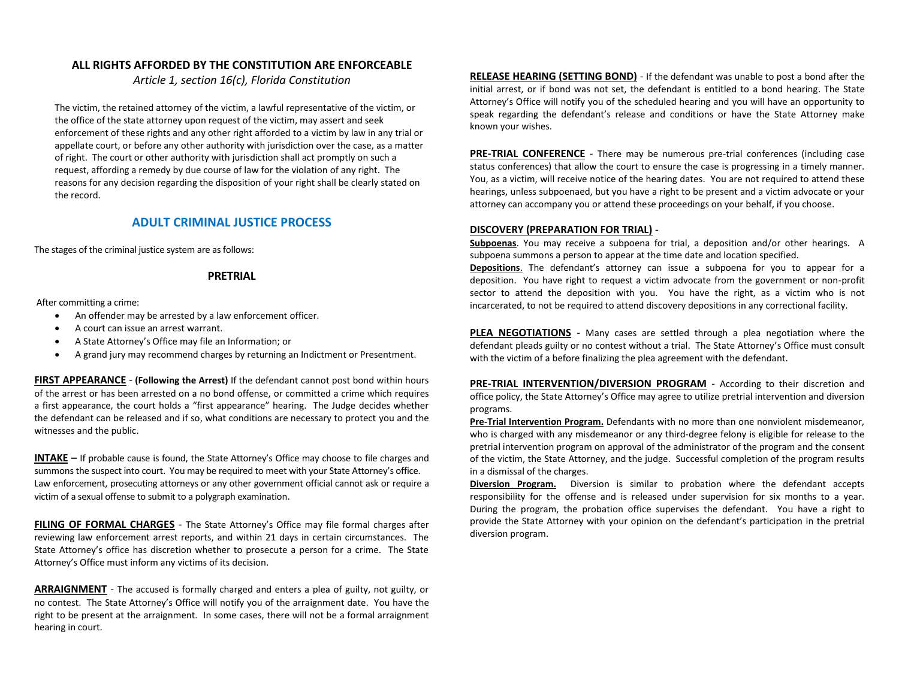### **ALL RIGHTS AFFORDED BY THE CONSTITUTION ARE ENFORCEABLE**

*Article 1, section 16(c), Florida Constitution*

The victim, the retained attorney of the victim, a lawful representative of the victim, or the office of the state attorney upon request of the victim, may assert and seek enforcement of these rights and any other right afforded to a victim by law in any trial or appellate court, or before any other authority with jurisdiction over the case, as a matter of right. The court or other authority with jurisdiction shall act promptly on such a request, affording a remedy by due course of law for the violation of any right. The reasons for any decision regarding the disposition of your right shall be clearly stated on the record.

### **ADULT CRIMINAL JUSTICE PROCESS**

The stages of the criminal justice system are as follows:

### **PRETRIAL**

After committing a crime:

- An offender may be arrested by a law enforcement officer.
- A court can issue an arrest warrant.
- A State Attorney's Office may file an Information; or
- A grand jury may recommend charges by returning an Indictment or Presentment.

**FIRST APPEARANCE** - **(Following the Arrest)** If the defendant cannot post bond within hours of the arrest or has been arrested on a no bond offense, or committed a crime which requires a first appearance, the court holds a "first appearance" hearing. The Judge decides whether the defendant can be released and if so, what conditions are necessary to protect you and the witnesses and the public.

**INTAKE –** If probable cause is found, the State Attorney's Office may choose to file charges and summons the suspect into court. You may be required to meet with your State Attorney's office. Law enforcement, prosecuting attorneys or any other government official cannot ask or require a victim of a sexual offense to submit to a polygraph examination.

**FILING OF FORMAL CHARGES** - The State Attorney's Office may file formal charges after reviewing law enforcement arrest reports, and within 21 days in certain circumstances. The State Attorney's office has discretion whether to prosecute a person for a crime. The State Attorney's Office must inform any victims of its decision.

**ARRAIGNMENT** - The accused is formally charged and enters a plea of guilty, not guilty, or no contest. The State Attorney's Office will notify you of the arraignment date. You have the right to be present at the arraignment. In some cases, there will not be a formal arraignment hearing in court.

**RELEASE HEARING (SETTING BOND)** - If the defendant was unable to post a bond after the initial arrest, or if bond was not set, the defendant is entitled to a bond hearing. The State Attorney's Office will notify you of the scheduled hearing and you will have an opportunity to speak regarding the defendant's release and conditions or have the State Attorney make known your wishes.

**PRE-TRIAL CONFERENCE** - There may be numerous pre-trial conferences (including case status conferences) that allow the court to ensure the case is progressing in a timely manner. You, as a victim, will receive notice of the hearing dates. You are not required to attend these hearings, unless subpoenaed, but you have a right to be present and a victim advocate or your attorney can accompany you or attend these proceedings on your behalf, if you choose.

### **DISCOVERY (PREPARATION FOR TRIAL)** -

**Subpoenas**. You may receive a subpoena for trial, a deposition and/or other hearings. A subpoena summons a person to appear at the time date and location specified.

**Depositions**. The defendant's attorney can issue a subpoena for you to appear for a deposition. You have right to request a victim advocate from the government or non-profit sector to attend the deposition with you. You have the right, as a victim who is not incarcerated, to not be required to attend discovery depositions in any correctional facility.

**PLEA NEGOTIATIONS** - Many cases are settled through a plea negotiation where the defendant pleads guilty or no contest without a trial. The State Attorney's Office must consult with the victim of a before finalizing the plea agreement with the defendant.

**PRE-TRIAL INTERVENTION/DIVERSION PROGRAM** - According to their discretion and office policy, the State Attorney's Office may agree to utilize pretrial intervention and diversion programs.

**Pre-Trial Intervention Program.** Defendants with no more than one nonviolent misdemeanor, who is charged with any misdemeanor or any third-degree felony is eligible for release to the pretrial intervention program on approval of the administrator of the program and the consent of the victim, the State Attorney, and the judge. Successful completion of the program results in a dismissal of the charges.

**Diversion Program.** Diversion is similar to probation where the defendant accepts responsibility for the offense and is released under supervision for six months to a year. During the program, the probation office supervises the defendant. You have a right to provide the State Attorney with your opinion on the defendant's participation in the pretrial diversion program.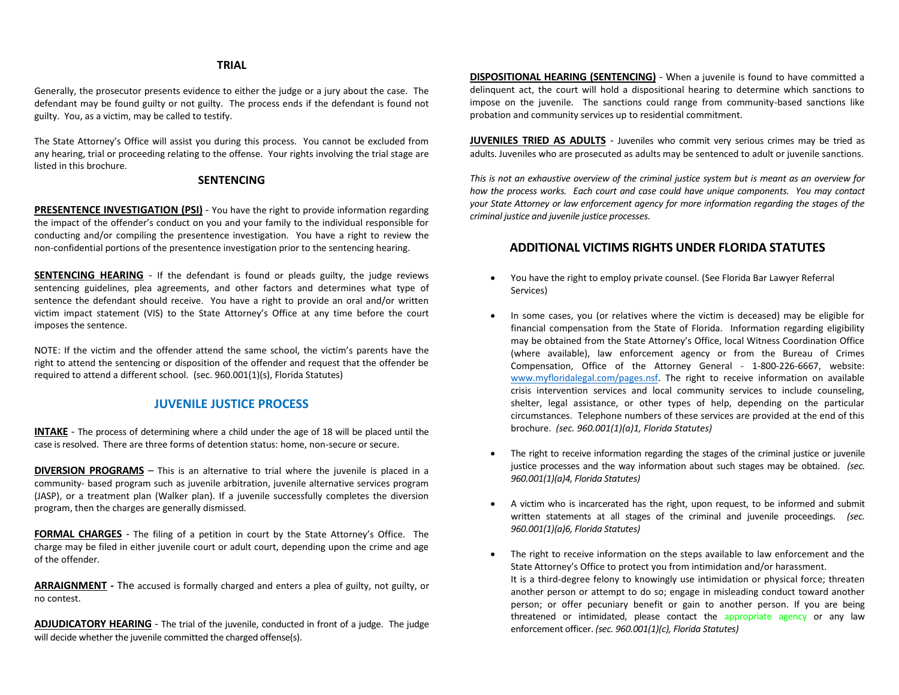### **TRIAL**

Generally, the prosecutor presents evidence to either the judge or a jury about the case. The defendant may be found guilty or not guilty. The process ends if the defendant is found not guilty. You, as a victim, may be called to testify.

The State Attorney's Office will assist you during this process. You cannot be excluded from any hearing, trial or proceeding relating to the offense. Your rights involving the trial stage are listed in this brochure.

#### **SENTENCING**

**PRESENTENCE INVESTIGATION (PSI)** - You have the right to provide information regarding the impact of the offender's conduct on you and your family to the individual responsible for conducting and/or compiling the presentence investigation. You have a right to review the non-confidential portions of the presentence investigation prior to the sentencing hearing.

**SENTENCING HEARING** - If the defendant is found or pleads guilty, the judge reviews sentencing guidelines, plea agreements, and other factors and determines what type of sentence the defendant should receive. You have a right to provide an oral and/or written victim impact statement (VIS) to the State Attorney's Office at any time before the court imposes the sentence.

NOTE: If the victim and the offender attend the same school, the victim's parents have the right to attend the sentencing or disposition of the offender and request that the offender be required to attend a different school. (sec. 960.001(1)(s), Florida Statutes)

### **JUVENILE JUSTICE PROCESS**

**INTAKE** - The process of determining where a child under the age of 18 will be placed until the case is resolved. There are three forms of detention status: home, non-secure or secure.

**DIVERSION PROGRAMS** – This is an alternative to trial where the juvenile is placed in a community- based program such as juvenile arbitration, juvenile alternative services program (JASP), or a treatment plan (Walker plan). If a juvenile successfully completes the diversion program, then the charges are generally dismissed.

**FORMAL CHARGES** - The filing of a petition in court by the State Attorney's Office. The charge may be filed in either juvenile court or adult court, depending upon the crime and age of the offender.

**ARRAIGNMENT -** The accused is formally charged and enters a plea of guilty, not guilty, or no contest.

**ADJUDICATORY HEARING** - The trial of the juvenile, conducted in front of a judge. The judge will decide whether the juvenile committed the charged offense(s).

**DISPOSITIONAL HEARING (SENTENCING)** - When a juvenile is found to have committed a delinquent act, the court will hold a dispositional hearing to determine which sanctions to impose on the juvenile. The sanctions could range from community-based sanctions like probation and community services up to residential commitment.

**JUVENILES TRIED AS ADULTS** - Juveniles who commit very serious crimes may be tried as adults. Juveniles who are prosecuted as adults may be sentenced to adult or juvenile sanctions.

*This is not an exhaustive overview of the criminal justice system but is meant as an overview for how the process works. Each court and case could have unique components. You may contact your State Attorney or law enforcement agency for more information regarding the stages of the criminal justice and juvenile justice processes.*

### **ADDITIONAL VICTIMS RIGHTS UNDER FLORIDA STATUTES**

- You have the right to employ private counsel. (See Florida Bar Lawyer Referral Services)
- In some cases, you (or relatives where the victim is deceased) may be eligible for financial compensation from the State of Florida. Information regarding eligibility may be obtained from the State Attorney's Office, local Witness Coordination Office (where available), law enforcement agency or from the Bureau of Crimes Compensation, Office of the Attorney General - 1-800-226-6667, website: [www.myfloridalegal.com/pages.nsf.](http://www.myfloridalegal.com/pages.nsf) The right to receive information on available crisis intervention services and local community services to include counseling, shelter, legal assistance, or other types of help, depending on the particular circumstances. Telephone numbers of these services are provided at the end of this brochure. *(sec. 960.001(1)(a)1, Florida Statutes)*
- The right to receive information regarding the stages of the criminal justice or juvenile justice processes and the way information about such stages may be obtained. *(sec. 960.001(1)(a)4, Florida Statutes)*
- A victim who is incarcerated has the right, upon request, to be informed and submit written statements at all stages of the criminal and juvenile proceedings. *(sec. 960.001(1)(a)6, Florida Statutes)*
- The right to receive information on the steps available to law enforcement and the State Attorney's Office to protect you from intimidation and/or harassment. It is a third-degree felony to knowingly use intimidation or physical force; threaten another person or attempt to do so; engage in misleading conduct toward another person; or offer pecuniary benefit or gain to another person. If you are being threatened or intimidated, please contact the appropriate agency or any law enforcement officer. *(sec. 960.001(1)(c), Florida Statutes)*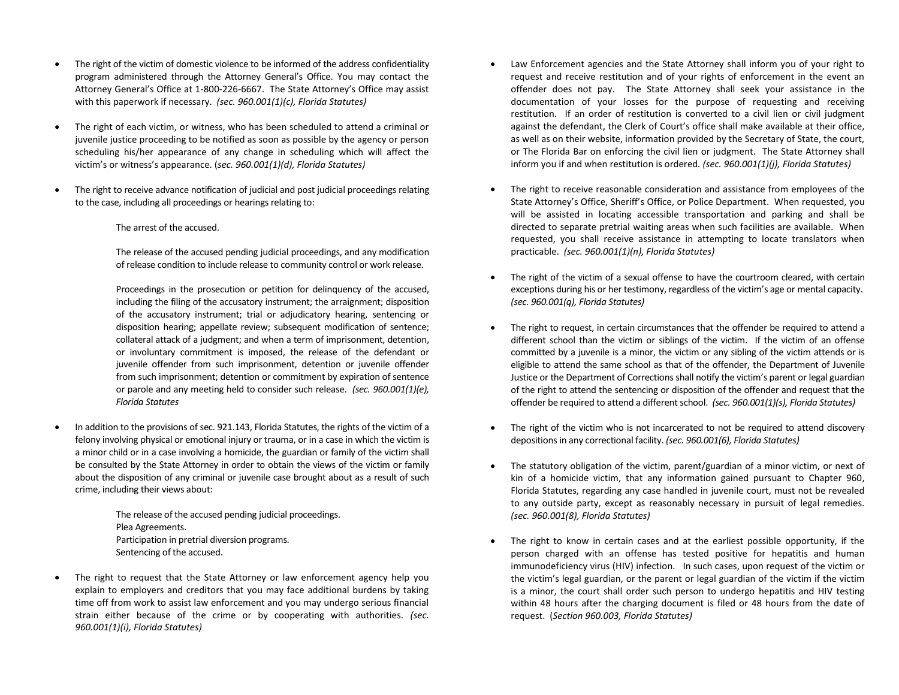- The right of the victim of domestic violence to be informed of the address confidentiality program administered through the Attorney General's Office. You may contact the Attorney General's Office at 1-800-226-6667. The State Attorney's Office may assist with this paperwork if necessary. *(sec. 960.001(1)(c), Florida Statutes)*
- The right of each victim, or witness, who has been scheduled to attend a criminal or juvenile justice proceeding to be notified as soon as possible by the agency or person scheduling his/her appearance of any change in scheduling which will affect the victim's or witness's appearance. (*sec. 960.001(1)(d), Florida Statutes)*
- The right to receive advance notification of judicial and post judicial proceedings relating to the case, including all proceedings or hearings relating to:
	- The arrest of the accused.

The release of the accused pending judicial proceedings, and any modification of release condition to include release to community control or work release.

Proceedings in the prosecution or petition for delinquency of the accused, including the filing of the accusatory instrument; the arraignment; disposition of the accusatory instrument; trial or adjudicatory hearing, sentencing or disposition hearing; appellate review; subsequent modification of sentence; collateral attack of a judgment; and when a term of imprisonment, detention, or involuntary commitment is imposed, the release of the defendant or juvenile offender from such imprisonment, detention or juvenile offender from such imprisonment; detention or commitment by expiration of sentence or parole and any meeting held to consider such release. *(sec. 960.001(1)(e), Florida Statutes*

• In addition to the provisions of sec. 921.143, Florida Statutes, the rights of the victim of a felony involving physical or emotional injury or trauma, or in a case in which the victim is a minor child or in a case involving a homicide, the guardian or family of the victim shall be consulted by the State Attorney in order to obtain the views of the victim or family about the disposition of any criminal or juvenile case brought about as a result of such crime, including their views about:

> The release of the accused pending judicial proceedings. Plea Agreements. Participation in pretrial diversion programs. Sentencing of the accused.

• The right to request that the State Attorney or law enforcement agency help you explain to employers and creditors that you may face additional burdens by taking time off from work to assist law enforcement and you may undergo serious financial strain either because of the crime or by cooperating with authorities. *(sec. 960.001(1)(i), Florida Statutes)*

- Law Enforcement agencies and the State Attorney shall inform you of your right to request and receive restitution and of your rights of enforcement in the event an offender does not pay. The State Attorney shall seek your assistance in the documentation of your losses for the purpose of requesting and receiving restitution. If an order of restitution is converted to a civil lien or civil judgment against the defendant, the Clerk of Court's office shall make available at their office, as well as on their website, information provided by the Secretary of State, the court, or The Florida Bar on enforcing the civil lien or judgment. The State Attorney shall inform you if and when restitution is ordered*. (sec. 960.001(1)(j), Florida Statutes)*
- The right to receive reasonable consideration and assistance from employees of the State Attorney's Office, Sheriff's Office, or Police Department. When requested, you will be assisted in locating accessible transportation and parking and shall be directed to separate pretrial waiting areas when such facilities are available. When requested, you shall receive assistance in attempting to locate translators when practicable. *(sec. 960.001(1)(n), Florida Statutes)*
- The right of the victim of a sexual offense to have the courtroom cleared, with certain exceptions during his or her testimony, regardless of the victim's age or mental capacity. *(sec. 960.001(q), Florida Statutes)*
- The right to request, in certain circumstances that the offender be required to attend a different school than the victim or siblings of the victim. If the victim of an offense committed by a juvenile is a minor, the victim or any sibling of the victim attends or is eligible to attend the same school as that of the offender, the Department of Juvenile Justice or the Department of Corrections shall notify the victim's parent or legal guardian of the right to attend the sentencing or disposition of the offender and request that the offender be required to attend a different school. *(sec. 960.001(1)(s), Florida Statutes)*
- The right of the victim who is not incarcerated to not be required to attend discovery depositions in any correctional facility. *(sec. 960.001(6), Florida Statutes)*
- The statutory obligation of the victim, parent/guardian of a minor victim, or next of kin of a homicide victim, that any information gained pursuant to Chapter 960, Florida Statutes, regarding any case handled in juvenile court, must not be revealed to any outside party, except as reasonably necessary in pursuit of legal remedies. *(sec. 960.001(8), Florida Statutes)*
- The right to know in certain cases and at the earliest possible opportunity, if the person charged with an offense has tested positive for hepatitis and human immunodeficiency virus (HIV) infection. In such cases, upon request of the victim or the victim's legal guardian, or the parent or legal guardian of the victim if the victim is a minor, the court shall order such person to undergo hepatitis and HIV testing within 48 hours after the charging document is filed or 48 hours from the date of request. (*Section 960.003, Florida Statutes)*